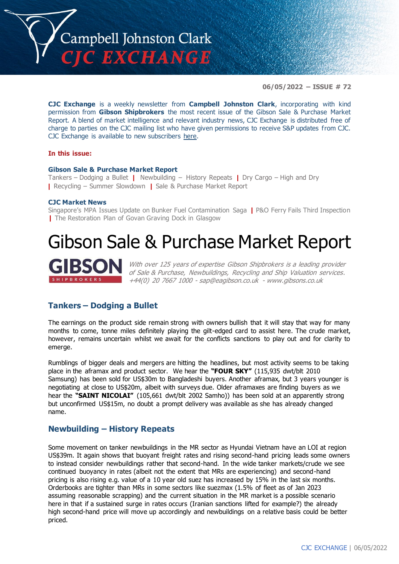

**06/05/2022 – ISSUE # 72**

**CJC Exchange** is a weekly newsletter from **Campbell Johnston Clark**, incorporating with kind permission from **Gibson Shipbrokers** the most recent issue of the Gibson Sale & Purchase Market Report. A blend of market intelligence and relevant industry news, CJC Exchange is distributed free of charge to parties on the CJC mailing list who have given permissions to receive S&P updates from CJC. CJC Exchange is available to new subscribers [here.](mailto:jamesc@cjclaw.com?subject=CJC%20Exchange%20sign-up)

#### **In this issue:**

#### **Gibson Sale & Purchase Market Report**

Tankers – Dodging a Bullet **|** Newbuilding – History Repeats **|** Dry Cargo – High and Dry **|** Recycling – Summer Slowdown **|** Sale & Purchase Market Report

#### **CJC Market News**

Singapore's MPA Issues Update on Bunker Fuel Contamination Saga **|** P&O Ferry Fails Third Inspection **|** The Restoration Plan of Govan Graving Dock in Glasgow

# Gibson Sale & Purchase Market Report



With over 125 years of expertise Gibson Shipbrokers is a leading provider of Sale & Purchase, Newbuildings, Recycling and Ship Valuation services. +44(0) 20 7667 1000 - [sap@eagibson.co.uk](mailto:sap@eagibson.co.uk) - [www.gibsons.co.uk](https://protect-eu.mimecast.com/s/VO6nCGZzRS60KqcK1jQh/)

## **Tankers – Dodging a Bullet**

The earnings on the product side remain strong with owners bullish that it will stay that way for many months to come, tonne miles definitely playing the gilt-edged card to assist here. The crude market, however, remains uncertain whilst we await for the conflicts sanctions to play out and for clarity to emerge.

Rumblings of bigger deals and mergers are hitting the headlines, but most activity seems to be taking place in the aframax and product sector. We hear the **"FOUR SKY"** (115,935 dwt/blt 2010 Samsung) has been sold for US\$30m to Bangladeshi buyers. Another aframax, but 3 years younger is negotiating at close to US\$20m, albeit with surveys due. Older aframaxes are finding buyers as we hear the **"SAINT NICOLAI"** (105,661 dwt/blt 2002 Samho)) has been sold at an apparently strong but unconfirmed US\$15m, no doubt a prompt delivery was available as she has already changed name.

#### **Newbuilding – History Repeats**

Some movement on tanker newbuildings in the MR sector as Hyundai Vietnam have an LOI at region US\$39m. It again shows that buoyant freight rates and rising second-hand pricing leads some owners to instead consider newbuildings rather that second-hand. In the wide tanker markets/crude we see continued buoyancy in rates (albeit not the extent that MRs are experiencing) and second-hand pricing is also rising e.g. value of a 10 year old suez has increased by 15% in the last six months. Orderbooks are tighter than MRs in some sectors like suezmax (1.5% of fleet as of Jan 2023 assuming reasonable scrapping) and the current situation in the MR market is a possible scenario here in that if a sustained surge in rates occurs (Iranian sanctions lifted for example?) the already high second-hand price will move up accordingly and newbuildings on a relative basis could be better priced.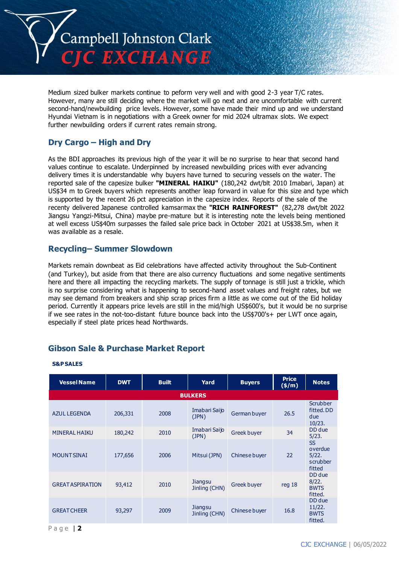

Medium sized bulker markets continue to peform very well and with good 2-3 year T/C rates. However, many are still deciding where the market will go next and are uncomfortable with current second-hand/newbuilding price levels. However, some have made their mind up and we understand Hyundai Vietnam is in negotiations with a Greek owner for mid 2024 ultramax slots. We expect further newbuilding orders if current rates remain strong.

# **Dry Cargo – High and Dry**

As the BDI approaches its previous high of the year it will be no surprise to hear that second hand values continue to escalate. Underpinned by increased newbuilding prices with ever advancing delivery times it is understandable why buyers have turned to securing vessels on the water. The reported sale of the capesize bulker **"MINERAL HAIKU"** (180,242 dwt/blt 2010 Imabari, Japan) at US\$34 m to Greek buyers which represents another leap forward in value for this size and type which is supported by the recent 26 pct appreciation in the capesize index. Reports of the sale of the recenty delivered Japanese controlled kamsarmax the **"RICH RAINFOREST"** (82,278 dwt/blt 2022 Jiangsu Yangzi-Mitsui, China) maybe pre-mature but it is interesting note the levels being mentioned at well excess US\$40m surpasses the failed sale price back in October 2021 at US\$38.5m, when it was available as a resale.

#### **Recycling– Summer Slowdown**

Markets remain downbeat as Eid celebrations have affected activity throughout the Sub-Continent (and Turkey), but aside from that there are also currency fluctuations and some negative sentiments here and there all impacting the recycling markets. The supply of tonnage is still just a trickle, which is no surprise considering what is happening to second-hand asset values and freight rates, but we may see demand from breakers and ship scrap prices firm a little as we come out of the Eid holiday period. Currently it appears price levels are still in the mid/high US\$600's, but it would be no surprise if we see rates in the not-too-distant future bounce back into the US\$700's+ per LWT once again, especially if steel plate prices head Northwards.

# **Gibson Sale & Purchase Market Report**

| <b>Vessel Name</b>      | <b>DWT</b> | <b>Built</b> | Yard                     | <b>Buyers</b> | <b>Price</b><br>$(\frac{\epsilon}{m})$ | <b>Notes</b>                                        |  |  |
|-------------------------|------------|--------------|--------------------------|---------------|----------------------------------------|-----------------------------------------------------|--|--|
| <b>BULKERS</b>          |            |              |                          |               |                                        |                                                     |  |  |
| <b>AZUL LEGENDA</b>     | 206,331    | 2008         | Imabari Saijo<br>(JPN)   | German buyer  | 26.5                                   | Scrubber<br>fitted. DD<br>due<br>10/23.             |  |  |
| <b>MINERAL HAIKU</b>    | 180,242    | 2010         | Imabari Saijo<br>(JPN)   | Greek buyer   | 34                                     | DD due<br>5/23.                                     |  |  |
| <b>MOUNT SINAI</b>      | 177,656    | 2006         | Mitsui (JPN)             | Chinese buyer | 22                                     | <b>SS</b><br>overdue<br>5/22.<br>scrubber<br>fitted |  |  |
| <b>GREAT ASPIRATION</b> | 93,412     | 2010         | Jiangsu<br>Jinling (CHN) | Greek buyer   | req <sub>18</sub>                      | DD due<br>8/22.<br><b>BWTS</b><br>fitted.           |  |  |
| <b>GREAT CHEER</b>      | 93,297     | 2009         | Jiangsu<br>Jinling (CHN) | Chinese buyer | 16.8                                   | DD due<br>11/22.<br><b>BWTS</b><br>fitted.          |  |  |

#### **S&P SALES**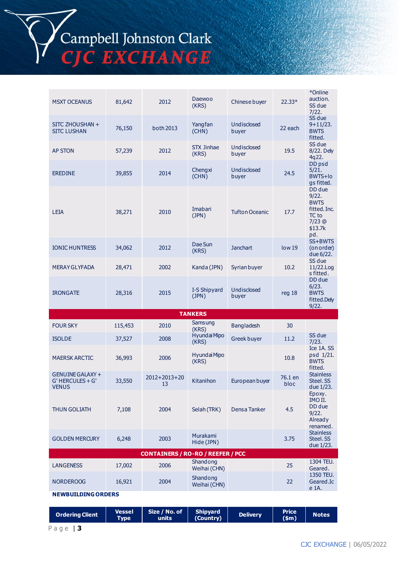**(\$m) Notes**

| <b>ILIUN QULIAILI</b>     | 7,100  | ∠∪∪⊤ | JCIAI        |  |  |  |  |  |
|---------------------------|--------|------|--------------|--|--|--|--|--|
| <b>GOLDEN MERCURY</b>     | 6,248  | 2003 | Mura<br>Hide |  |  |  |  |  |
| <b>CONTAINERS / RO-RO</b> |        |      |              |  |  |  |  |  |
| <b>LANGENESS</b>          | 17,002 | 2006 | Shan<br>Weih |  |  |  |  |  |
| <b>NORDEROOG</b>          | 16,921 | 2004 | Shan<br>Weih |  |  |  |  |  |
| <b>NEWBUILDING ORDERS</b> |        |      |              |  |  |  |  |  |
|                           |        |      |              |  |  |  |  |  |

**Type**

**Size / No. of units**

**Shipyard** 

**Shipyard Delivery Price**<br> **(Country) Delivery Price** 

| <b>AP STON</b>                                       | 57,239  | 2012                 | <b>STX Jinhae</b><br>(KRS) | Undisclosed<br>buyer  | 19.5              | SS due<br>8/22. Dely<br>4q22.                                                       |  |  |  |
|------------------------------------------------------|---------|----------------------|----------------------------|-----------------------|-------------------|-------------------------------------------------------------------------------------|--|--|--|
| <b>EREDINE</b>                                       | 39,855  | 2014                 | Chengxi<br>(CHN)           | Undisclosed<br>buyer  | 24.5              | DD psd<br>5/21.<br>BWTS+lo<br>gs fitted.                                            |  |  |  |
| <b>LEIA</b>                                          | 38,271  | 2010                 | Imabari<br>(JPN)           | <b>Tufton Oceanic</b> | 17.7              | DD due<br>9/22.<br><b>BWTS</b><br>fitted. Inc.<br>TC to<br>7/23 @<br>\$13.7k<br>pd. |  |  |  |
| <b>IONIC HUNTRESS</b>                                | 34,062  | 2012                 | Dae Sun<br>(KRS)           | <b>Janchart</b>       | low <sub>19</sub> | SS+BWTS<br>(on order)<br>due 6/22.                                                  |  |  |  |
| <b>MERAY GLYFADA</b>                                 | 28,471  | 2002                 | Kanda (JPN)                | Syrian buyer          | 10.2              | SS due<br>11/22.Log<br>s fitted.                                                    |  |  |  |
| <b>IRONGATE</b>                                      | 28,316  | 2015                 | I-S Shipyard<br>(JPN)      | Undisclosed<br>buyer  | reg 18            | DD due<br>6/23.<br><b>BWTS</b><br>fitted.Dely<br>9/22.                              |  |  |  |
|                                                      |         |                      | <b>TANKERS</b>             |                       |                   |                                                                                     |  |  |  |
| <b>FOUR SKY</b>                                      | 115,453 | 2010                 | Samsung<br>(KRS)           | Bangladesh            | 30                |                                                                                     |  |  |  |
| <b>ISOLDE</b>                                        | 37,527  | 2008                 | Hyundai Mipo<br>(KRS)      | Greek buyer           | 11.2              | SS due<br>7/23.                                                                     |  |  |  |
| <b>MAERSK ARCTIC</b>                                 | 36,993  | 2006                 | Hyundai Mipo<br>(KRS)      |                       | 10.8              | Ice 1A.SS<br>psd 1/21.<br><b>BWTS</b><br>fitted.                                    |  |  |  |
| GENUINE GALAXY +<br>G' HERCULES + G'<br><b>VENUS</b> | 33,550  | $2012+2013+20$<br>13 | Kitanihon                  | European buyer        | 76.1 en<br>bloc   | Stainless<br>Steel. SS<br>due 1/23.                                                 |  |  |  |
| <b>THUN GOLIATH</b>                                  | 7,108   | 2004                 | Selah (TRK)                | Densa Tanker          | 4.5               | Epoxy.<br>IMO II.<br>DD due<br>9/22.<br>Already<br>renamed.                         |  |  |  |
| <b>GOLDEN MERCURY</b>                                | 6,248   | 2003                 | Murakami<br>Hide (JPN)     |                       | 3.75              | Stainless<br>Steel. SS<br>due 1/23.                                                 |  |  |  |
| <b>CONTAINERS / RO-RO / REEFER / PCC</b>             |         |                      |                            |                       |                   |                                                                                     |  |  |  |
| <b>LANGENESS</b>                                     | 17,002  | 2006                 | Shandong<br>Weihai (CHN)   |                       | 25                | 1304 TEU.<br>Geared.                                                                |  |  |  |
| <b>NORDEROOG</b>                                     | 16,921  | 2004                 | Shandong<br>Weihai (CHN)   |                       | 22                | 1350 TEU.<br>Geared.Ic<br>e 1A.                                                     |  |  |  |
| <b>NEWBUILDING ORDERS</b>                            |         |                      |                            |                       |                   |                                                                                     |  |  |  |

(CHN)

Chinese buyer  $22.33*$ 

buyer 22 each

Undisclosed

\*Online auction. SS due 7/22.

SS due 9+11/23. BWTS fitted.

# Campbell Johnston Clark<br>CJC EXCHANGE

MSXT OCEANUS 81,642 2012 Daewoo

SITC ZHOUSHAN + 76,150 both 2013 <sup>Yangfan</sup><br>SITC LUSHAN 76,150 both 2013 (CHN)

**Ordering Client Vessel**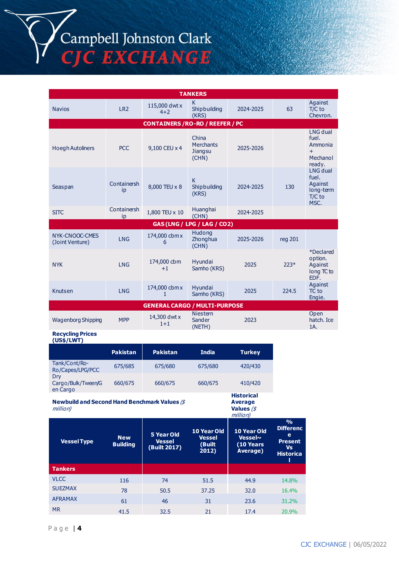Campbell Johnston Clark<br>CJC EXCHANGE

| <b>TANKERS</b>                                                                                                                    |                               |                                                    |                                                      |                                                        |                                                    |                                                                     |  |  |  |
|-----------------------------------------------------------------------------------------------------------------------------------|-------------------------------|----------------------------------------------------|------------------------------------------------------|--------------------------------------------------------|----------------------------------------------------|---------------------------------------------------------------------|--|--|--|
| <b>Navios</b>                                                                                                                     | LR <sub>2</sub>               | 115,000 dwt x<br>$4 + 2$                           | K.<br>Shipbuilding<br>(KRS)                          | 2024-2025                                              | 63                                                 | Against<br>$T/C$ to<br>Chevron.                                     |  |  |  |
| <b>CONTAINERS / RO-RO / REEFER / PC</b>                                                                                           |                               |                                                    |                                                      |                                                        |                                                    |                                                                     |  |  |  |
| <b>Hoegh Autoliners</b>                                                                                                           | <b>PCC</b>                    | 9,100 CEU x 4                                      | China<br><b>Merchants</b><br><b>Jiangsu</b><br>(CHN) | 2025-2026                                              |                                                    | LNG dual<br>fuel.<br>Ammonia<br>$+$<br>Mechanol<br>ready.           |  |  |  |
| Seaspan                                                                                                                           | Containersh<br>ip             | 8,000 TEU x 8                                      | K<br>Shipbuilding<br>(KRS)                           | 2024-2025                                              | 130                                                | LNG dual<br>fuel.<br>Against<br>long-term<br>T/C to<br>MSC.         |  |  |  |
| <b>SITC</b>                                                                                                                       | Containersh<br>ip             | 1,800 TEU x 10                                     | Huanghai<br>(CHN)                                    | 2024-2025                                              |                                                    |                                                                     |  |  |  |
|                                                                                                                                   |                               |                                                    | GAS (LNG / LPG / LAG / CO2)                          |                                                        |                                                    |                                                                     |  |  |  |
| NYK-CNOOC-CMES<br>(Joint Venture)                                                                                                 | <b>LNG</b>                    | 174,000 cbm x<br>6                                 | Hudong<br>Zhonghua<br>(CHN)                          | 2025-2026                                              | reg 201                                            |                                                                     |  |  |  |
| <b>NYK</b>                                                                                                                        | <b>LNG</b>                    | 174,000 cbm<br>$+1$                                | Hyundai<br>Samho (KRS)                               | 2025                                                   | $223*$                                             | <i><b>*Declared</b></i><br>option.<br>Against<br>long TC to<br>EDF. |  |  |  |
| Knutsen                                                                                                                           | <b>LNG</b>                    | 174,000 cbm x<br>$\mathbf{1}$                      | Hyundai<br>Samho (KRS)                               | 2025                                                   | 224.5                                              | Against<br>TC to<br>Engie.                                          |  |  |  |
|                                                                                                                                   |                               | <b>GENERAL CARGO / MULTI-PURPOSE</b>               |                                                      |                                                        |                                                    |                                                                     |  |  |  |
| <b>Wagenborg Shipping</b>                                                                                                         | <b>MPP</b>                    | 14,300 dwt x<br>$1+1$                              | <b>Niestern</b><br><b>Sander</b><br>(NETH)           | 2023                                                   |                                                    | Open<br>hatch. Ice<br>1A.                                           |  |  |  |
| <b>Recycling Prices</b><br>(US\$/LWT)                                                                                             |                               |                                                    |                                                      |                                                        |                                                    |                                                                     |  |  |  |
|                                                                                                                                   | <b>Pakistan</b>               | <b>Pakistan</b>                                    | <b>India</b>                                         | <b>Turkey</b>                                          |                                                    |                                                                     |  |  |  |
| Tank/Cont/Ro-<br>Ro/Capes/LPG/PCC                                                                                                 | 675/685                       | 675/680                                            | 675/680                                              | 420/430                                                |                                                    |                                                                     |  |  |  |
| Dry<br>Cargo/Bulk/Tween/G<br>en Cargo                                                                                             | 660/675                       | 660/675                                            | 660/675                                              | 410/420                                                |                                                    |                                                                     |  |  |  |
| <b>Historical</b><br><b>Newbuild and Second Hand Benchmark Values (\$</b><br><b>Average</b><br>million)<br>Values $/$<br>million) |                               |                                                    |                                                      |                                                        |                                                    |                                                                     |  |  |  |
|                                                                                                                                   |                               |                                                    |                                                      |                                                        | $\frac{9}{6}$<br><b>Differenc</b>                  |                                                                     |  |  |  |
| <b>Vessel Type</b>                                                                                                                | <b>New</b><br><b>Building</b> | <b>5 Year Old</b><br><b>Vessel</b><br>(Built 2017) | 10 Year Old<br><b>Vessel</b><br>(Built<br>2012)      | 10 Year Old<br><b>Vessel~</b><br>(10 Years<br>Average) | e<br><b>Present</b><br>Vs<br><b>Historica</b><br>ш |                                                                     |  |  |  |
| <b>Tankers</b>                                                                                                                    |                               |                                                    |                                                      |                                                        |                                                    |                                                                     |  |  |  |
| <b>VLCC</b>                                                                                                                       | 116                           | 74                                                 | 51.5                                                 | 44.9                                                   | 14.8%                                              |                                                                     |  |  |  |
| <b>SUEZMAX</b>                                                                                                                    | 78                            | 50.5                                               | 37.25                                                | 32.0                                                   | 16.4%                                              |                                                                     |  |  |  |
| <b>AFRAMAX</b><br><b>MR</b>                                                                                                       | 61<br>41.5                    | 46<br>32.5                                         | 31<br>21                                             | 23.6<br>17.4                                           | 31.2%<br>20.9%                                     |                                                                     |  |  |  |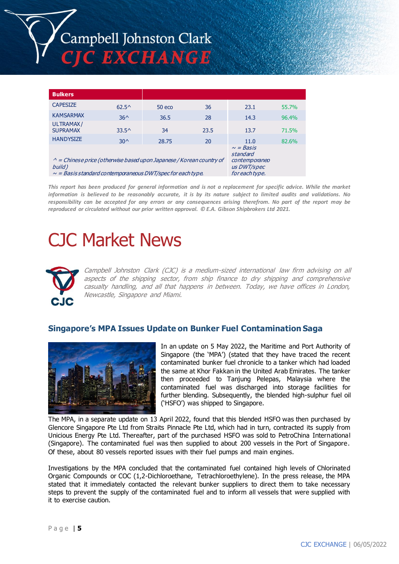

| <b>Bulkers</b>                                                                                                                                           |                                                                              |          |      |      |       |
|----------------------------------------------------------------------------------------------------------------------------------------------------------|------------------------------------------------------------------------------|----------|------|------|-------|
| <b>CAPESIZE</b>                                                                                                                                          | $62.5^{\circ}$                                                               | $50$ eco | 36   | 23.1 | 55.7% |
| <b>KAMSARMAX</b>                                                                                                                                         | $36^$                                                                        | 36.5     | 28   | 14.3 | 96.4% |
| ULTRAMAX/<br><b>SUPRAMAX</b>                                                                                                                             | $33.5^{\circ}$                                                               | 34       | 23.5 | 13.7 | 71.5% |
| <b>HANDYSIZE</b>                                                                                                                                         | $30^{\circ}$                                                                 | 28.75    | 20   | 11.0 | 82.6% |
| $\wedge$ = Chinese price (otherwise based upon Japanese / Korean country of<br>build)<br>$\sim$ = Basis standard contemporaneous DWT/spec for each type. | $\sim$ = Basis<br>standard<br>contemporaneo<br>us DWT/spec<br>for each type. |          |      |      |       |

*This report has been produced for general information and is not a replacement for specific advice. While the market information is believed to be reasonably accurate, it is by its nature subject to limited audits and validations. No responsibility can be accepted for any errors or any consequences arising therefrom. No part of the report may be reproduced or circulated without our prior written approval. © E.A. Gibson Shipbrokers Ltd 2021.*

# CJC Market News



Campbell Johnston Clark (CJC) is a medium-sized international law firm advising on all aspects of the shipping sector, from ship finance to dry shipping and comprehensive casualty handling, and all that happens in between. Today, we have offices in London, Newcastle, Singapore and Miami.

#### **Singapore's MPA Issues Update on Bunker Fuel Contamination Saga**



In an update on 5 May 2022, the Maritime and Port Authority of Singapore (the 'MPA') (stated that they have traced the recent contaminated bunker fuel chronicle to a tanker which had loaded the same at Khor Fakkan in the United Arab Emirates. The tanker then proceeded to Tanjung Pelepas, Malaysia where the contaminated fuel was discharged into storage facilities for further blending. Subsequently, the blended high-sulphur fuel oil ('HSFO') was shipped to Singapore.

The MPA, in a separate update on 13 April 2022, found that this blended HSFO was then purchased by Glencore Singapore Pte Ltd from Straits Pinnacle Pte Ltd, which had in turn, contracted its supply from Unicious Energy Pte Ltd. Thereafter, part of the purchased HSFO was sold to PetroChina International (Singapore). The contaminated fuel was then supplied to about 200 vessels in the Port of Singapore. Of these, about 80 vessels reported issues with their fuel pumps and main engines.

Investigations by the MPA concluded that the contaminated fuel contained high levels of Chlorinated Organic Compounds or COC (1,2-Dichloroethane, Tetrachloroethylene). In the press release, the MPA stated that it immediately contacted the relevant bunker suppliers to direct them to take necessary steps to prevent the supply of the contaminated fuel and to inform all vessels that were supplied with it to exercise caution.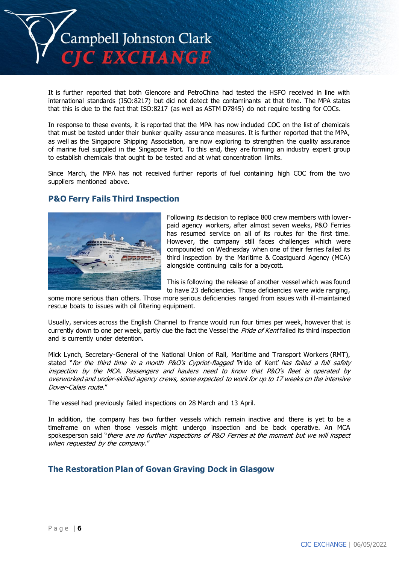

It is further reported that both Glencore and PetroChina had tested the HSFO received in line with international standards (ISO:8217) but did not detect the contaminants at that time. The MPA states that this is due to the fact that ISO:8217 (as well as ASTM D7845) do not require testing for COCs.

In response to these events, it is reported that the MPA has now included COC on the list of chemicals that must be tested under their bunker quality assurance measures. It is further reported that the MPA, as well as the Singapore Shipping Association, are now exploring to strengthen the quality assurance of marine fuel supplied in the Singapore Port. To this end, they are forming an industry expert group to establish chemicals that ought to be tested and at what concentration limits.

Since March, the MPA has not received further reports of fuel containing high COC from the two suppliers mentioned above.

## **P&O Ferry Fails Third Inspection**



Following its decision to replace 800 crew members with lowerpaid agency workers, after almost seven weeks, P&O Ferries has resumed service on all of its routes for the first time. However, the company still faces challenges which were compounded on Wednesday when one of their ferries failed its third inspection by the Maritime & Coastguard Agency (MCA) alongside continuing calls for a boycott.

This is following the release of another vessel which was found to have 23 deficiencies. Those deficiencies were wide ranging,

some more serious than others. Those more serious deficiencies ranged from issues with ill-maintained rescue boats to issues with oil filtering equipment.

Usually, services across the English Channel to France would run four times per week, however that is currently down to one per week, partly due the fact the Vessel the *Pride of Kent* failed its third inspection and is currently under detention.

Mick Lynch, Secretary-General of the National Union of Rail, Maritime and Transport Workers (RMT), stated "for the third time in a month P&O's Cypriot-flagged Pride of Kent' has failed a full safety inspection by the MCA. Passengers and haulers need to know that P&O's fleet is operated by overworked and under-skilled agency crews, some expected to work for up to 17 weeks on the intensive Dover-Calais route."

The vessel had previously failed inspections on 28 March and 13 April.

In addition, the company has two further vessels which remain inactive and there is yet to be a timeframe on when those vessels might undergo inspection and be back operative. An MCA spokesperson said "there are no further inspections of P&O Ferries at the moment but we will inspect when requested by the company."

## **The Restoration Plan of Govan Graving Dock in Glasgow**